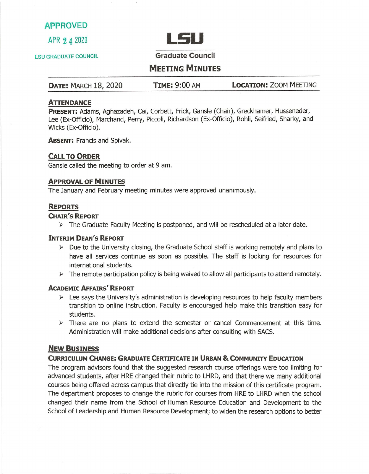# **APPROVED**



LSU GRADUATE COUNCIL **Graduate Council** 

# **MEETING MINUTES**

**DATE:** MARCH 18, 2020 **TIME:** 9:00 AM **LOCATION:** ZOOM MEETING

## **ATTENDANCE**

**PRESENT:** Adams, Aghazadeh, Cai, Corbett, Frick, Gansle (Chair), Greckhamer, Husseneder, Lee (Ex-Officio), Marchand, Perry, Piccoli, Richardson (Ex-Officio), Rohli, Seifried, Sharky, and Wicks (Ex-Officio).

**ABSENT:** Francis and Spivak.

### **CALL TO ORDER**

Gansle called the meeting to order at 9 am.

#### **APPROVAL OF MINUTES**

The January and February meeting minutes were approved unanimously.

### **REPORTS**

#### **CHAIR'S REPORT**

 $\triangleright$  The Graduate Faculty Meeting is postponed, and will be rescheduled at a later date.

#### **INTERIM DEAN'S REPORT**

- $\triangleright$  Due to the University closing, the Graduate School staff is working remotely and plans to have all services continue as soon as possible. The staff is looking for resources for international students.
- $\triangleright$  The remote participation policy is being waived to allow all participants to attend remotely.

#### **ACADEMIC AFFAIRS' REPORT**

- $\triangleright$  Lee says the University's administration is developing resources to help faculty members transition to online instruction. Faculty is encouraged help make this transition easy for students.
- $\triangleright$  There are no plans to extend the semester or cancel Commencement at this time. Administration will make additional decisions after consulting with SACS.

### **NEW BUSINESS**

#### **CURRICULUM CHANGE: GRADUATE CERTIFICATE IN URBAN & COMMUNITY EDUCATION**

The program advisors found that the suggested research course offerings were too limiting for advanced students, after HRE changed their rubric to LHRD, and that there we many additional courses being offered across campus that directly tie into the mission of this certificate program. The department proposes to change the rubric for courses from HRE to LHRD when the school changed their name from the School of Human Resource Education and Development to the School of Leadership and Human Resource Development; to widen the research options to better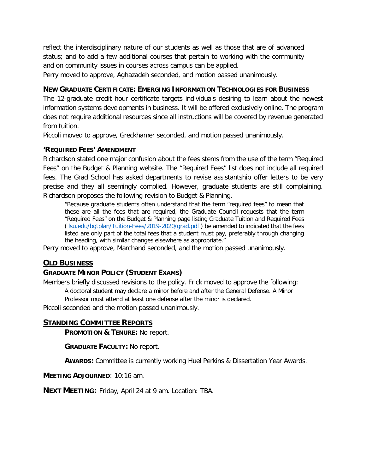reflect the interdisciplinary nature of our students as well as those that are of advanced status; and to add a few additional courses that pertain to working with the community and on community issues in courses across campus can be applied.

Perry moved to approve, Aghazadeh seconded, and motion passed unanimously.

### **NEW GRADUATE CERTIFICATE: EMERGING INFORMATION TECHNOLOGIES FOR BUSINESS**

 The 12-graduate credit hour certificate targets individuals desiring to learn about the newest information systems developments in business. It will be offered exclusively online. The program does not require additional resources since all instructions will be covered by revenue generated from tuition.

Piccoli moved to approve, Greckhamer seconded, and motion passed unanimously.

## **'REQUIRED FEES' AMENDMENT**

 Richardson stated one major confusion about the fees stems from the use of the term "Required Fees" on the Budget & Planning website. The "Required Fees" list does not include all required fees. The Grad School has asked departments to revise assistantship offer letters to be very precise and they all seemingly complied. However, graduate students are still complaining. Richardson proposes the following revision to Budget & Planning.

 "Because graduate students often understand that the term "required fees" to mean that these are all the fees that are required, the Graduate Council requests that the term "Required Fees" on the Budget & Planning page listing Graduate Tuition and Required Fees ( <u>Isu.edu/bgtplan/Tuition-Fees/2019-2020/grad.pdf</u> ) be amended to indicated that the fees listed are only part of the total fees that a student must pay, preferably through changing the heading, with similar changes elsewhere as appropriate."

Perry moved to approve, Marchand seconded, and the motion passed unanimously.

# **OLD BUSINESS**

# **GRADUATE MINOR POLICY (STUDENT EXAMS)**

Members briefly discussed revisions to the policy. Frick moved to approve the following:

A doctoral student may declare a minor before and after the General Defense. A Minor

Professor must attend at least one defense after the minor is declared.

Piccoli seconded and the motion passed unanimously.

# **STANDING COMMITTEE REPORTS**

 **PROMOTION & TENURE:** No report.

**GRADUATE FACULTY:** No report.

**AWARDS:** Committee is currently working Huel Perkins & Dissertation Year Awards.

**MEETING ADJOURNED**: 10:16 am.

**NEXT MEETING:** Friday, April 24 at 9 am. Location: TBA.